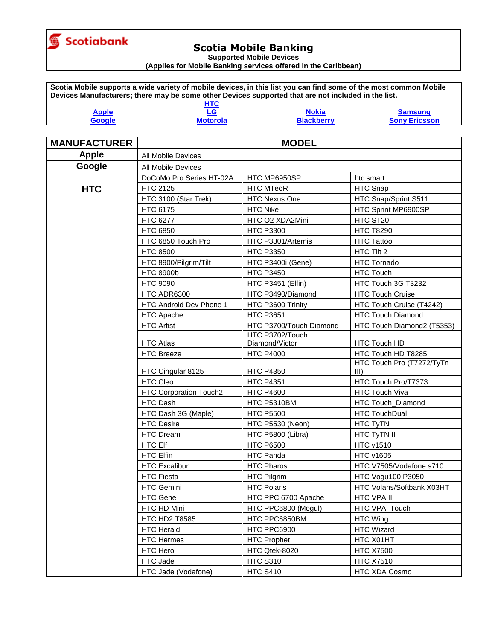

**Supported Mobile Devices**

**(Applies for Mobile Banking services offered in the Caribbean)**

**Scotia Mobile supports a wide variety of mobile devices, in this list you can find some of the most common Mobile Devices Manufacturers; there may be some other Devices supported that are not included in the list. Apple HTC [LG](#page-1-0) [Nokia](#page-5-0) [Samsung](#page-8-0)**

| <u>Apple</u> | LU              | мокіа    | samsung         |
|--------------|-----------------|----------|-----------------|
| Google       | <b>Motorola</b> | .ckberrv | <b>Ericsson</b> |
|              |                 |          |                 |

| <b>MANUFACTURER</b> | <b>MODEL</b>              |                         |                                                 |
|---------------------|---------------------------|-------------------------|-------------------------------------------------|
| <b>Apple</b>        | <b>All Mobile Devices</b> |                         |                                                 |
| Google              | All Mobile Devices        |                         |                                                 |
|                     | DoCoMo Pro Series HT-02A  | HTC MP6950SP            | htc smart                                       |
| <b>HTC</b>          | <b>HTC 2125</b>           | <b>HTC MTeoR</b>        | HTC Snap                                        |
|                     | HTC 3100 (Star Trek)      | <b>HTC Nexus One</b>    | HTC Snap/Sprint S511                            |
|                     | HTC 6175                  | <b>HTC Nike</b>         | HTC Sprint MP6900SP                             |
|                     | HTC 6277                  | HTC O2 XDA2Mini         | HTC ST20                                        |
|                     | <b>HTC 6850</b>           | <b>HTC P3300</b>        | <b>HTC T8290</b>                                |
|                     | HTC 6850 Touch Pro        | HTC P3301/Artemis       | HTC Tattoo                                      |
|                     | <b>HTC 8500</b>           | <b>HTC P3350</b>        | HTC Tilt 2                                      |
|                     | HTC 8900/Pilgrim/Tilt     | HTC P3400i (Gene)       | <b>HTC Tornado</b>                              |
|                     | <b>HTC 8900b</b>          | <b>HTC P3450</b>        | <b>HTC Touch</b>                                |
|                     | <b>HTC 9090</b>           | HTC P3451 (Elfin)       | HTC Touch 3G T3232                              |
|                     | HTC ADR6300               | HTC P3490/Diamond       | <b>HTC Touch Cruise</b>                         |
|                     | HTC Android Dev Phone 1   | HTC P3600 Trinity       | HTC Touch Cruise (T4242)                        |
|                     | <b>HTC Apache</b>         | <b>HTC P3651</b>        | <b>HTC Touch Diamond</b>                        |
|                     | <b>HTC Artist</b>         | HTC P3700/Touch Diamond | HTC Touch Diamond2 (T5353)                      |
|                     |                           | HTC P3702/Touch         |                                                 |
|                     | <b>HTC Atlas</b>          | Diamond/Victor          | HTC Touch HD                                    |
|                     | <b>HTC Breeze</b>         | <b>HTC P4000</b>        | HTC Touch HD T8285<br>HTC Touch Pro (T7272/TyTn |
|                     | HTC Cingular 8125         | <b>HTC P4350</b>        | III)                                            |
|                     | <b>HTC Cleo</b>           | <b>HTC P4351</b>        | HTC Touch Pro/T7373                             |
|                     | HTC Corporation Touch2    | <b>HTC P4600</b>        | <b>HTC Touch Viva</b>                           |
|                     | HTC Dash                  | HTC P5310BM             | HTC Touch_Diamond                               |
|                     | HTC Dash 3G (Maple)       | <b>HTC P5500</b>        | <b>HTC TouchDual</b>                            |
|                     | <b>HTC Desire</b>         | HTC P5530 (Neon)        | HTC TyTN                                        |
|                     | <b>HTC Dream</b>          | HTC P5800 (Libra)       | HTC TyTN II                                     |
|                     | <b>HTC Elf</b>            | <b>HTC P6500</b>        | <b>HTC v1510</b>                                |
|                     | <b>HTC Elfin</b>          | <b>HTC Panda</b>        | <b>HTC v1605</b>                                |
|                     | <b>HTC Excalibur</b>      | <b>HTC Pharos</b>       | HTC V7505/Vodafone s710                         |
|                     | <b>HTC Fiesta</b>         | HTC Pilgrim             | HTC Vogu100 P3050                               |
|                     | HTC Gemini                | <b>HTC Polaris</b>      | HTC Volans/Softbank X03HT                       |
|                     | <b>HTC Gene</b>           | HTC PPC 6700 Apache     | <b>HTC VPA II</b>                               |
|                     | HTC HD Mini               | HTC PPC6800 (Mogul)     | HTC VPA_Touch                                   |
|                     | <b>HTC HD2 T8585</b>      | HTC PPC6850BM           | <b>HTC Wing</b>                                 |
|                     | <b>HTC Herald</b>         | HTC PPC6900             | <b>HTC Wizard</b>                               |
|                     | <b>HTC Hermes</b>         | <b>HTC Prophet</b>      | HTC X01HT                                       |
|                     | HTC Hero                  | HTC Qtek-8020           | <b>HTC X7500</b>                                |
|                     | HTC Jade                  | <b>HTC S310</b>         | <b>HTC X7510</b>                                |
|                     | HTC Jade (Vodafone)       | <b>HTC S410</b>         | HTC XDA Cosmo                                   |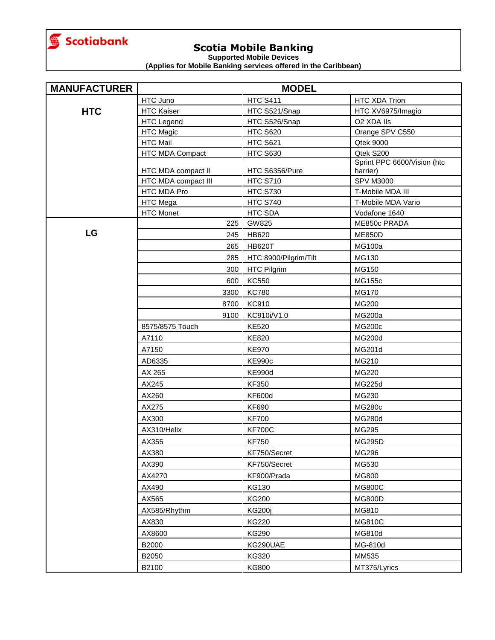<span id="page-1-0"></span>

**Supported Mobile Devices**

| <b>MANUFACTURER</b> | <b>MODEL</b>        |                       |                                         |
|---------------------|---------------------|-----------------------|-----------------------------------------|
|                     | HTC Juno            | <b>HTC S411</b>       | HTC XDA Trion                           |
| <b>HTC</b>          | <b>HTC Kaiser</b>   | HTC S521/Snap         | HTC XV6975/Imagio                       |
|                     | <b>HTC Legend</b>   | HTC S526/Snap         | O2 XDA IIs                              |
|                     | <b>HTC Magic</b>    | <b>HTC S620</b>       | Orange SPV C550                         |
|                     | <b>HTC Mail</b>     | <b>HTC S621</b>       | <b>Qtek 9000</b>                        |
|                     | HTC MDA Compact     | <b>HTC S630</b>       | Qtek S200                               |
|                     | HTC MDA compact II  | HTC S6356/Pure        | Sprint PPC 6600/Vision (htc<br>harrier) |
|                     | HTC MDA compact III | <b>HTC S710</b>       | <b>SPV M3000</b>                        |
|                     | HTC MDA Pro         | <b>HTC S730</b>       | T-Mobile MDA III                        |
|                     | HTC Mega            | <b>HTC S740</b>       | T-Mobile MDA Vario                      |
|                     | <b>HTC Monet</b>    | HTC SDA               | Vodafone 1640                           |
|                     | 225                 | GW825                 | ME850c PRADA                            |
| LG                  | 245                 | HB620                 | <b>ME850D</b>                           |
|                     | 265                 | <b>HB620T</b>         | <b>MG100a</b>                           |
|                     | 285                 | HTC 8900/Pilgrim/Tilt | MG130                                   |
|                     | 300                 | <b>HTC Pilgrim</b>    | MG150                                   |
|                     | 600                 | <b>KC550</b>          | MG155c                                  |
|                     | 3300                | <b>KC780</b>          | <b>MG170</b>                            |
|                     | 8700                | KC910                 | MG200                                   |
|                     | 9100                | KC910i/V1.0           | <b>MG200a</b>                           |
|                     | 8575/8575 Touch     | <b>KE520</b>          | <b>MG200c</b>                           |
|                     | A7110               | <b>KE820</b>          | <b>MG200d</b>                           |
|                     | A7150               | <b>KE970</b>          | MG201d                                  |
|                     | AD6335              | <b>KE990c</b>         | MG210                                   |
|                     | AX 265              | <b>KE990d</b>         | MG220                                   |
|                     | AX245               | <b>KF350</b>          | <b>MG225d</b>                           |
|                     | AX260               | <b>KF600d</b>         | MG230                                   |
|                     | AX275               | <b>KF690</b>          | <b>MG280c</b>                           |
|                     | AX300               | <b>KF700</b>          | <b>MG280d</b>                           |
|                     | AX310/Helix         | <b>KF700C</b>         | MG295                                   |
|                     | AX355               | <b>KF750</b>          | <b>MG295D</b>                           |
|                     | AX380               | KF750/Secret          | MG296                                   |
|                     | AX390               | KF750/Secret          | MG530                                   |
|                     | AX4270              | KF900/Prada           | MG800                                   |
|                     | AX490               | <b>KG130</b>          | <b>MG800C</b>                           |
|                     | AX565               | <b>KG200</b>          | <b>MG800D</b>                           |
|                     | AX585/Rhythm        | <b>KG200j</b>         | MG810                                   |
|                     | AX830               | <b>KG220</b>          | <b>MG810C</b>                           |
|                     |                     |                       |                                         |
|                     | AX8600              | <b>KG290</b>          | MG810d                                  |
|                     | B2000               | KG290UAE              | MG-810d                                 |
|                     | B2050               | KG320                 | MM535                                   |
|                     | B2100               | <b>KG800</b>          | MT375/Lyrics                            |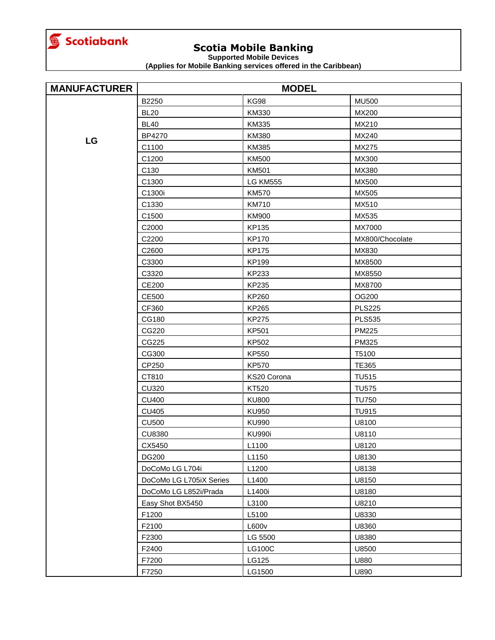

**Supported Mobile Devices**

| <b>MANUFACTURER</b> | <b>MODEL</b>            |                 |                 |
|---------------------|-------------------------|-----------------|-----------------|
|                     | B2250                   | <b>KG98</b>     | <b>MU500</b>    |
|                     | <b>BL20</b>             | KM330           | MX200           |
|                     | <b>BL40</b>             | KM335           | MX210           |
|                     | <b>BP4270</b>           | KM380           | MX240           |
| LG                  | C1100                   | KM385           | MX275           |
|                     | C1200                   | <b>KM500</b>    | MX300           |
|                     | C130                    | <b>KM501</b>    | MX380           |
|                     | C1300                   | <b>LG KM555</b> | MX500           |
|                     | C1300i                  | <b>KM570</b>    | MX505           |
|                     | C1330                   | <b>KM710</b>    | MX510           |
|                     | C1500                   | KM900           | MX535           |
|                     | C2000                   | KP135           | MX7000          |
|                     | C2200                   | <b>KP170</b>    | MX800/Chocolate |
|                     | C2600                   | <b>KP175</b>    | MX830           |
|                     | C3300                   | <b>KP199</b>    | MX8500          |
|                     | C3320                   | KP233           | MX8550          |
|                     | <b>CE200</b>            | KP235           | MX8700          |
|                     | <b>CE500</b>            | KP260           | OG200           |
|                     | CF360                   | KP265           | <b>PLS225</b>   |
|                     | CG180                   | <b>KP275</b>    | <b>PLS535</b>   |
|                     | CG220                   | <b>KP501</b>    | PM225           |
|                     | CG225                   | KP502           | <b>PM325</b>    |
|                     | CG300                   | KP550           | T5100           |
|                     | CP250                   | <b>KP570</b>    | <b>TE365</b>    |
|                     | CT810                   | KS20 Corona     | <b>TU515</b>    |
|                     | <b>CU320</b>            | <b>KT520</b>    | <b>TU575</b>    |
|                     | <b>CU400</b>            | <b>KU800</b>    | <b>TU750</b>    |
|                     | <b>CU405</b>            | <b>KU950</b>    | <b>TU915</b>    |
|                     | <b>CU500</b>            | <b>KU990</b>    | U8100           |
|                     | <b>CU8380</b>           | <b>KU990i</b>   | U8110           |
|                     | CX5450                  | L1100           | U8120           |
|                     | <b>DG200</b>            | L1150           | U8130           |
|                     | DoCoMo LG L704i         | L1200           | U8138           |
|                     | DoCoMo LG L705iX Series | L1400           | U8150           |
|                     | DoCoMo LG L852i/Prada   | L1400i          | U8180           |
|                     | Easy Shot BX5450        | L3100           | U8210           |
|                     | F1200                   | L5100           | U8330           |
|                     | F2100                   | L600v           | U8360           |
|                     | F2300                   | LG 5500         | U8380           |
|                     | F2400                   | <b>LG100C</b>   | U8500           |
|                     | F7200                   | LG125           | U880            |
|                     | F7250                   | LG1500          | U890            |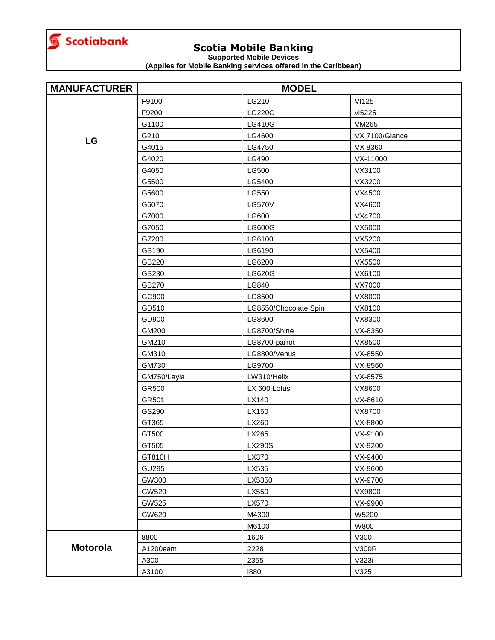

**Supported Mobile Devices**

| <b>MANUFACTURER</b> | <b>MODEL</b> |                       |                |
|---------------------|--------------|-----------------------|----------------|
|                     | F9100        | LG210                 | <b>VI125</b>   |
|                     | F9200        | LG220C                | vi5225         |
|                     | G1100        | <b>LG410G</b>         | <b>VM265</b>   |
|                     | G210         | LG4600                | VX 7100/Glance |
| LG                  | G4015        | LG4750                | VX 8360        |
|                     | G4020        | LG490                 | VX-11000       |
|                     | G4050        | LG500                 | VX3100         |
|                     | G5500        | LG5400                | VX3200         |
|                     | G5600        | LG550                 | VX4500         |
|                     | G6070        | <b>LG570V</b>         | VX4600         |
|                     | G7000        | LG600                 | VX4700         |
|                     | G7050        | LG600G                | VX5000         |
|                     | G7200        | LG6100                | VX5200         |
|                     | GB190        | LG6190                | VX5400         |
|                     | GB220        | LG6200                | VX5500         |
|                     | GB230        | LG620G                | VX6100         |
|                     | GB270        | LG840                 | VX7000         |
|                     | GC900        | LG8500                | VX8000         |
|                     | GD510        | LG8550/Chocolate Spin | VX8100         |
|                     | GD900        | LG8600                | VX8300         |
|                     | GM200        | LG8700/Shine          | VX-8350        |
|                     | GM210        | LG8700-parrot         | VX8500         |
|                     | GM310        | LG8800/Venus          | VX-8550        |
|                     | GM730        | LG9700                | VX-8560        |
|                     | GM750/Layla  | LW310/Helix           | VX-8575        |
|                     | GR500        | LX 600 Lotus          | VX8600         |
|                     | GR501        | LX140                 | VX-8610        |
|                     | GS290        | LX150                 | VX8700         |
|                     | GT365        | LX260                 | VX-8800        |
|                     | GT500        | LX265                 | VX-9100        |
|                     | GT505        | LX290S                | VX-9200        |
|                     | GT810H       | LX370                 | VX-9400        |
|                     | GU295        | LX535                 | VX-9600        |
|                     | GW300        | LX5350                | VX-9700        |
|                     | GW520        | LX550                 | VX9800         |
|                     | GW525        | LX570                 | VX-9900        |
|                     | GW620        | M4300                 | W5200          |
|                     |              | M6100                 | W800           |
|                     | 8800         | 1606                  | V300           |
| <b>Motorola</b>     | A1200eam     | 2228                  | <b>V300R</b>   |
|                     | A300         | 2355                  | V323i          |
|                     | A3100        | i880                  | V325           |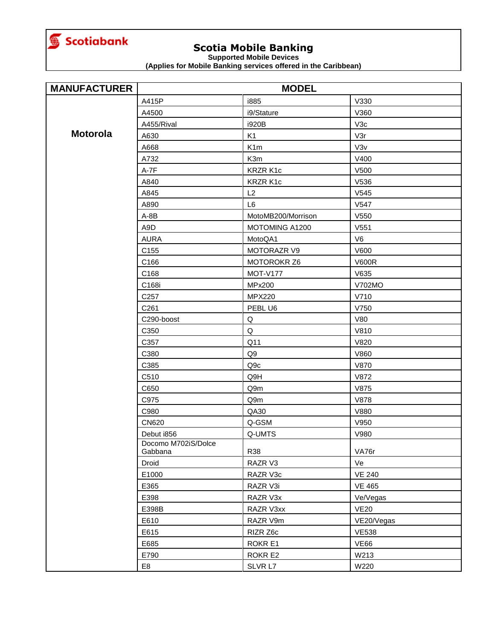<span id="page-4-0"></span>

**Supported Mobile Devices**

| <b>MANUFACTURER</b> | <b>MODEL</b>        |                    |                  |
|---------------------|---------------------|--------------------|------------------|
|                     | A415P               | i885               | V330             |
|                     | A4500               | i9/Stature         | V360             |
|                     | A455/Rival          | i920B              | V3c              |
| <b>Motorola</b>     | A630                | K <sub>1</sub>     | V3r              |
|                     | A668                | K <sub>1m</sub>    | V3V              |
|                     | A732                | K3m                | V400             |
|                     | $A-7F$              | KRZR K1c           | V500             |
|                     | A840                | KRZR K1c           | V536             |
|                     | A845                | L2                 | V545             |
|                     | A890                | L <sub>6</sub>     | V547             |
|                     | $A-8B$              | MotoMB200/Morrison | V550             |
|                     | A9D                 | MOTOMING A1200     | V <sub>551</sub> |
|                     | <b>AURA</b>         | MotoQA1            | V <sub>6</sub>   |
|                     | C <sub>155</sub>    | <b>MOTORAZR V9</b> | V600             |
|                     | C166                | <b>MOTOROKR Z6</b> | <b>V600R</b>     |
|                     | C168                | <b>MOT-V177</b>    | V635             |
|                     | C168i               | MPx200             | V702MO           |
|                     | C <sub>257</sub>    | <b>MPX220</b>      | V710             |
|                     | C <sub>261</sub>    | PEBL U6            | V750             |
|                     | C290-boost          | Q                  | <b>V80</b>       |
|                     | C350                | $\mathsf Q$        | V810             |
|                     | C357                | Q11                | V820             |
|                     | C380                | Q9                 | V860             |
|                     | C385                | Q9c                | V870             |
|                     | C510                | Q9H                | V872             |
|                     | C650                | Q9m                | V875             |
|                     | C975                | Q9m                | <b>V878</b>      |
|                     | C980                | QA30               | V880             |
|                     | <b>CN620</b>        | Q-GSM              | V950             |
|                     | Debut i856          | Q-UMTS             | V980             |
|                     | Docomo M702iS/Dolce | R38                | VA76r            |
|                     | Gabbana<br>Droid    | RAZR V3            | Ve               |
|                     | E1000               | RAZR V3c           | <b>VE 240</b>    |
|                     | E365                | RAZR V3i           | <b>VE 465</b>    |
|                     | E398                | RAZR V3x           | Ve/Vegas         |
|                     | E398B               | RAZR V3xx          | <b>VE20</b>      |
|                     | E610                | RAZR V9m           | VE20/Vegas       |
|                     | E615                | RIZR Z6c           | <b>VE538</b>     |
|                     | E685                | ROKR E1            | VE66             |
|                     | E790                | ROKR E2            | W213             |
|                     |                     |                    |                  |
|                     | E8                  | SLVR L7            | W220             |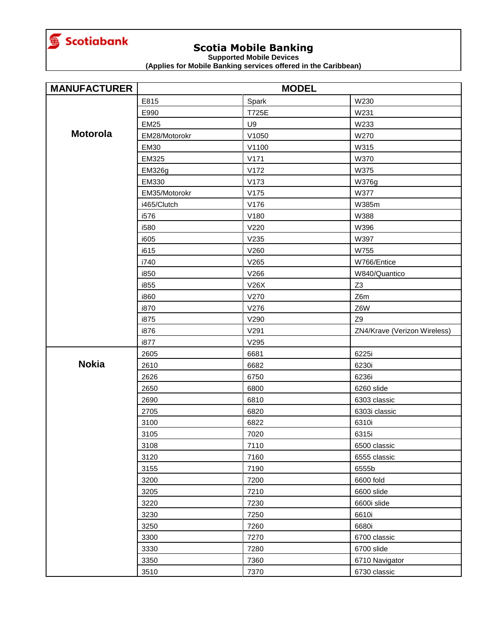<span id="page-5-0"></span>

**Supported Mobile Devices**

| <b>MANUFACTURER</b> | <b>MODEL</b>  |       |                              |
|---------------------|---------------|-------|------------------------------|
|                     | E815          | Spark | W230                         |
|                     | E990          | T725E | W231                         |
|                     | <b>EM25</b>   | U9    | W233                         |
| <b>Motorola</b>     | EM28/Motorokr | V1050 | W270                         |
|                     | <b>EM30</b>   | V1100 | W315                         |
|                     | EM325         | V171  | W370                         |
|                     | <b>EM326g</b> | V172  | W375                         |
|                     | EM330         | V173  | <b>W376g</b>                 |
|                     | EM35/Motorokr | V175  | W377                         |
|                     | i465/Clutch   | V176  | W385m                        |
|                     | i576          | V180  | W388                         |
|                     | i580          | V220  | W396                         |
|                     | i605          | V235  | W397                         |
|                     | i615          | V260  | W755                         |
|                     | i740          | V265  | W766/Entice                  |
|                     | i850          | V266  | W840/Quantico                |
|                     | i855          | V26X  | Z <sub>3</sub>               |
|                     | i860          | V270  | Z6m                          |
|                     | i870          | V276  | Z6W                          |
|                     | i875          | V290  | Z9                           |
|                     | i876          | V291  | ZN4/Krave (Verizon Wireless) |
|                     | i877          | V295  |                              |
|                     | 2605          | 6681  | 6225i                        |
| <b>Nokia</b>        | 2610          | 6682  | 6230i                        |
|                     | 2626          | 6750  | 6236i                        |
|                     | 2650          | 6800  | 6260 slide                   |
|                     | 2690          | 6810  | 6303 classic                 |
|                     | 2705          | 6820  | 6303i classic                |
|                     | 3100          | 6822  | 6310i                        |
|                     | 3105          | 7020  | 6315i                        |
|                     | 3108          | 7110  | 6500 classic                 |
|                     | 3120          | 7160  | 6555 classic                 |
|                     | 3155          | 7190  | 6555b                        |
|                     | 3200          | 7200  | 6600 fold                    |
|                     | 3205          | 7210  | 6600 slide                   |
|                     | 3220          | 7230  | 6600i slide                  |
|                     | 3230          | 7250  | 6610i                        |
|                     | 3250          | 7260  | 6680i                        |
|                     | 3300          | 7270  | 6700 classic                 |
|                     | 3330          | 7280  | 6700 slide                   |
|                     | 3350          | 7360  | 6710 Navigator               |
|                     | 3510          | 7370  | 6730 classic                 |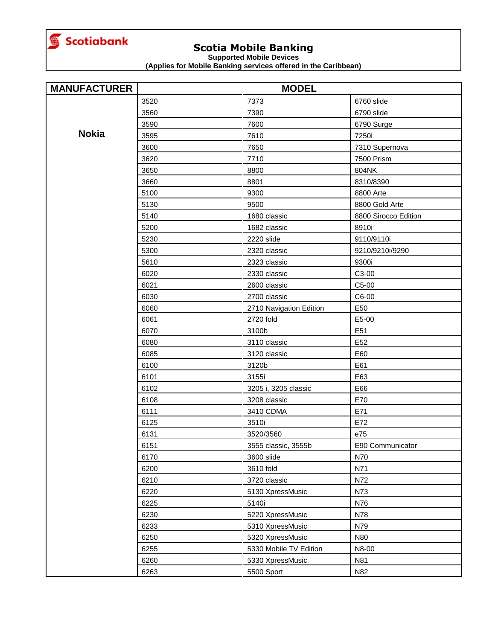

**Supported Mobile Devices**

| <b>MANUFACTURER</b> | <b>MODEL</b> |                         |                      |
|---------------------|--------------|-------------------------|----------------------|
|                     | 3520         | 7373                    | 6760 slide           |
|                     | 3560         | 7390                    | 6790 slide           |
|                     | 3590         | 7600                    | 6790 Surge           |
| <b>Nokia</b>        | 3595         | 7610                    | 7250i                |
|                     | 3600         | 7650                    | 7310 Supernova       |
|                     | 3620         | 7710                    | 7500 Prism           |
|                     | 3650         | 8800                    | 804NK                |
|                     | 3660         | 8801                    | 8310/8390            |
|                     | 5100         | 9300                    | 8800 Arte            |
|                     | 5130         | 9500                    | 8800 Gold Arte       |
|                     | 5140         | 1680 classic            | 8800 Sirocco Edition |
|                     | 5200         | 1682 classic            | 8910i                |
|                     | 5230         | 2220 slide              | 9110/9110i           |
|                     | 5300         | 2320 classic            | 9210/9210i/9290      |
|                     | 5610         | 2323 classic            | 9300i                |
|                     | 6020         | 2330 classic            | C3-00                |
|                     | 6021         | 2600 classic            | C5-00                |
|                     | 6030         | 2700 classic            | C6-00                |
|                     | 6060         | 2710 Navigation Edition | E50                  |
|                     | 6061         | 2720 fold               | E5-00                |
|                     | 6070         | 3100b                   | E51                  |
|                     | 6080         | 3110 classic            | E <sub>52</sub>      |
|                     | 6085         | 3120 classic            | E60                  |
|                     | 6100         | 3120b                   | E61                  |
|                     | 6101         | 3155i                   | E63                  |
|                     | 6102         | 3205 i, 3205 classic    | E66                  |
|                     | 6108         | 3208 classic            | E70                  |
|                     | 6111         | 3410 CDMA               | E71                  |
|                     | 6125         | 3510i                   | E72                  |
|                     | 6131         | 3520/3560               | e75                  |
|                     | 6151         | 3555 classic, 3555b     | E90 Communicator     |
|                     | 6170         | 3600 slide              | N70                  |
|                     | 6200         | 3610 fold               | N71                  |
|                     | 6210         | 3720 classic            | N72                  |
|                     | 6220         | 5130 XpressMusic        | N73                  |
|                     | 6225         | 5140i                   | N76                  |
|                     | 6230         | 5220 XpressMusic        | N78                  |
|                     | 6233         | 5310 XpressMusic        | N79                  |
|                     | 6250         | 5320 XpressMusic        | <b>N80</b>           |
|                     | 6255         | 5330 Mobile TV Edition  | N8-00                |
|                     | 6260         | 5330 XpressMusic        | N81                  |
|                     | 6263         | 5500 Sport              | N82                  |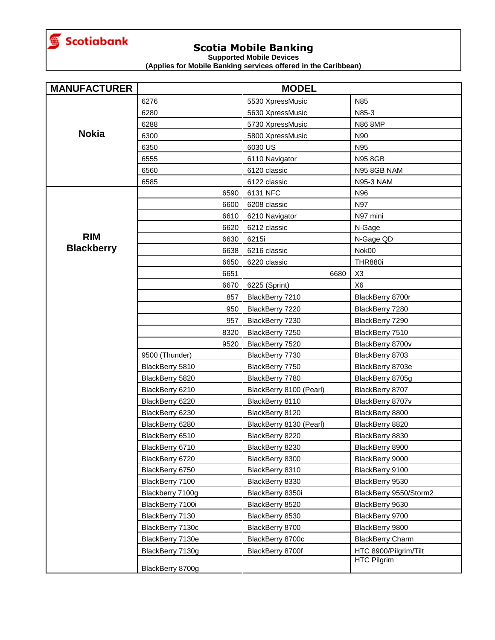<span id="page-7-0"></span>

**Supported Mobile Devices**

| <b>MANUFACTURER</b> | <b>MODEL</b>     |                         |                         |
|---------------------|------------------|-------------------------|-------------------------|
|                     | 6276             | 5530 XpressMusic        | N85                     |
|                     | 6280             | 5630 XpressMusic        | N85-3                   |
|                     | 6288             | 5730 XpressMusic        | <b>N86 8MP</b>          |
| <b>Nokia</b>        | 6300             | 5800 XpressMusic        | N90                     |
|                     | 6350             | 6030 US                 | N95                     |
|                     | 6555             | 6110 Navigator          | <b>N95 8GB</b>          |
|                     | 6560             | 6120 classic            | N95 8GB NAM             |
|                     | 6585             | 6122 classic            | <b>N95-3 NAM</b>        |
|                     | 6590             | 6131 NFC                | N96                     |
|                     | 6600             | 6208 classic            | N97                     |
|                     | 6610             | 6210 Navigator          | N97 mini                |
|                     | 6620             | 6212 classic            | N-Gage                  |
| <b>RIM</b>          | 6630             | 6215i                   | N-Gage QD               |
| <b>Blackberry</b>   | 6638             | 6216 classic            | Nok00                   |
|                     | 6650             | 6220 classic            | <b>THR880i</b>          |
|                     | 6651             | 6680                    | X <sub>3</sub>          |
|                     | 6670             | 6225 (Sprint)           | X <sub>6</sub>          |
|                     | 857              | BlackBerry 7210         | BlackBerry 8700r        |
|                     | 950              | BlackBerry 7220         | BlackBerry 7280         |
|                     | 957              | BlackBerry 7230         | BlackBerry 7290         |
|                     | 8320             | BlackBerry 7250         | BlackBerry 7510         |
|                     | 9520             | BlackBerry 7520         | BlackBerry 8700v        |
|                     | 9500 (Thunder)   | BlackBerry 7730         | BlackBerry 8703         |
|                     | BlackBerry 5810  | BlackBerry 7750         | BlackBerry 8703e        |
|                     | BlackBerry 5820  | BlackBerry 7780         | BlackBerry 8705g        |
|                     | BlackBerry 6210  | BlackBerry 8100 (Pearl) | BlackBerry 8707         |
|                     | BlackBerry 6220  | BlackBerry 8110         | BlackBerry 8707v        |
|                     | BlackBerry 6230  | BlackBerry 8120         | BlackBerry 8800         |
|                     | BlackBerry 6280  | BlackBerry 8130 (Pearl) | BlackBerry 8820         |
|                     | BlackBerry 6510  | BlackBerry 8220         | BlackBerry 8830         |
|                     | BlackBerry 6710  | BlackBerry 8230         | BlackBerry 8900         |
|                     | BlackBerry 6720  | BlackBerry 8300         | BlackBerry 9000         |
|                     | BlackBerry 6750  | BlackBerry 8310         | BlackBerry 9100         |
|                     | BlackBerry 7100  | BlackBerry 8330         | BlackBerry 9530         |
|                     | Blackberry 7100g | BlackBerry 8350i        | BlackBerry 9550/Storm2  |
|                     | BlackBerry 7100i | BlackBerry 8520         | BlackBerry 9630         |
|                     | BlackBerry 7130  | BlackBerry 8530         | BlackBerry 9700         |
|                     | BlackBerry 7130c | BlackBerry 8700         | BlackBerry 9800         |
|                     | BlackBerry 7130e | BlackBerry 8700c        | <b>BlackBerry Charm</b> |
|                     | BlackBerry 7130g | BlackBerry 8700f        | HTC 8900/Pilgrim/Tilt   |
|                     | BlackBerry 8700g |                         | HTC Pilgrim             |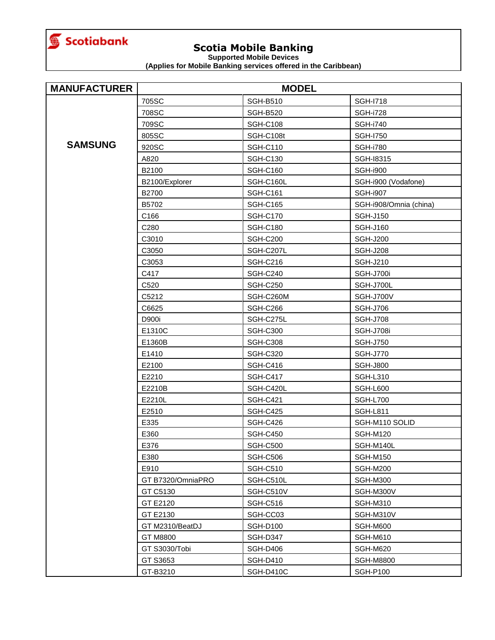<span id="page-8-0"></span>

**Supported Mobile Devices**

| <b>MANUFACTURER</b> | <b>MODEL</b>      |                  |                        |
|---------------------|-------------------|------------------|------------------------|
|                     | 705SC             | <b>SGH-B510</b>  | <b>SGH-I718</b>        |
|                     | 708SC             | <b>SGH-B520</b>  | <b>SGH-i728</b>        |
|                     | 709SC             | <b>SGH-C108</b>  | <b>SGH-i740</b>        |
|                     | 805SC             | SGH-C108t        | <b>SGH-1750</b>        |
| <b>SAMSUNG</b>      | 920SC             | <b>SGH-C110</b>  | <b>SGH-i780</b>        |
|                     | A820              | <b>SGH-C130</b>  | SGH-18315              |
|                     | B2100             | <b>SGH-C160</b>  | <b>SGH-i900</b>        |
|                     | B2100/Explorer    | SGH-C160L        | SGH-i900 (Vodafone)    |
|                     | B2700             | <b>SGH-C161</b>  | <b>SGH-i907</b>        |
|                     | B5702             | <b>SGH-C165</b>  | SGH-i908/Omnia (china) |
|                     | C166              | <b>SGH-C170</b>  | <b>SGH-J150</b>        |
|                     | C280              | <b>SGH-C180</b>  | <b>SGH-J160</b>        |
|                     | C3010             | <b>SGH-C200</b>  | <b>SGH-J200</b>        |
|                     | C3050             | SGH-C207L        | <b>SGH-J208</b>        |
|                     | C3053             | <b>SGH-C216</b>  | <b>SGH-J210</b>        |
|                     | C417              | SGH-C240         | SGH-J700i              |
|                     | C <sub>520</sub>  | <b>SGH-C250</b>  | SGH-J700L              |
|                     | C5212             | SGH-C260M        | SGH-J700V              |
|                     | C6625             | SGH-C266         | <b>SGH-J706</b>        |
|                     | D900i             | SGH-C275L        | <b>SGH-J708</b>        |
|                     | E1310C            | <b>SGH-C300</b>  | <b>SGH-J708i</b>       |
|                     | E1360B            | <b>SGH-C308</b>  | <b>SGH-J750</b>        |
|                     | E1410             | <b>SGH-C320</b>  | <b>SGH-J770</b>        |
|                     | E2100             | <b>SGH-C416</b>  | <b>SGH-J800</b>        |
|                     | E2210             | <b>SGH-C417</b>  | <b>SGH-L310</b>        |
|                     | E2210B            | SGH-C420L        | SGH-L600               |
|                     | E2210L            | <b>SGH-C421</b>  | <b>SGH-L700</b>        |
|                     | E2510             | <b>SGH-C425</b>  | <b>SGH-L811</b>        |
|                     | E335              | <b>SGH-C426</b>  | SGH-M110 SOLID         |
|                     | E360              | <b>SGH-C450</b>  | <b>SGH-M120</b>        |
|                     | E376              | <b>SGH-C500</b>  | SGH-M140L              |
|                     | E380              | SGH-C506         | SGH-M150               |
|                     | E910              | <b>SGH-C510</b>  | <b>SGH-M200</b>        |
|                     | GT B7320/OmniaPRO | SGH-C510L        | <b>SGH-M300</b>        |
|                     | GT C5130          | SGH-C510V        | SGH-M300V              |
|                     | GT E2120          | <b>SGH-C516</b>  | SGH-M310               |
|                     | GT E2130          | SGH-CC03         | SGH-M310V              |
|                     | GT M2310/BeatDJ   | <b>SGH-D100</b>  | SGH-M600               |
|                     | GT M8800          | SGH-D347         | SGH-M610               |
|                     | GT S3030/Tobi     | SGH-D406         | SGH-M620               |
|                     | GT S3653          | SGH-D410         | <b>SGH-M8800</b>       |
|                     | GT-B3210          | <b>SGH-D410C</b> | <b>SGH-P100</b>        |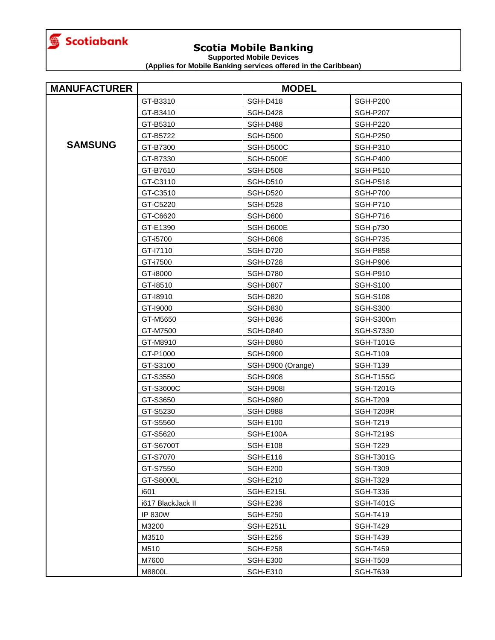

**Supported Mobile Devices**

| <b>MANUFACTURER</b> | <b>MODEL</b>      |                   |                  |
|---------------------|-------------------|-------------------|------------------|
|                     | GT-B3310          | <b>SGH-D418</b>   | <b>SGH-P200</b>  |
|                     | GT-B3410          | <b>SGH-D428</b>   | <b>SGH-P207</b>  |
|                     | GT-B5310          | <b>SGH-D488</b>   | <b>SGH-P220</b>  |
|                     | GT-B5722          | <b>SGH-D500</b>   | <b>SGH-P250</b>  |
| <b>SAMSUNG</b>      | GT-B7300          | SGH-D500C         | <b>SGH-P310</b>  |
|                     | GT-B7330          | SGH-D500E         | <b>SGH-P400</b>  |
|                     | GT-B7610          | <b>SGH-D508</b>   | <b>SGH-P510</b>  |
|                     | GT-C3110          | <b>SGH-D510</b>   | <b>SGH-P518</b>  |
|                     | GT-C3510          | <b>SGH-D520</b>   | <b>SGH-P700</b>  |
|                     | GT-C5220          | SGH-D528          | <b>SGH-P710</b>  |
|                     | GT-C6620          | <b>SGH-D600</b>   | <b>SGH-P716</b>  |
|                     | GT-E1390          | SGH-D600E         | SGH-p730         |
|                     | GT-i5700          | SGH-D608          | <b>SGH-P735</b>  |
|                     | GT-I7110          | <b>SGH-D720</b>   | <b>SGH-P858</b>  |
|                     | GT-i7500          | <b>SGH-D728</b>   | <b>SGH-P906</b>  |
|                     | GT-i8000          | <b>SGH-D780</b>   | SGH-P910         |
|                     | GT-18510          | <b>SGH-D807</b>   | <b>SGH-S100</b>  |
|                     | GT-18910          | <b>SGH-D820</b>   | <b>SGH-S108</b>  |
|                     | GT-19000          | <b>SGH-D830</b>   | <b>SGH-S300</b>  |
|                     | GT-M5650          | SGH-D836          | SGH-S300m        |
|                     | GT-M7500          | <b>SGH-D840</b>   | SGH-S7330        |
|                     | GT-M8910          | <b>SGH-D880</b>   | <b>SGH-T101G</b> |
|                     | GT-P1000          | <b>SGH-D900</b>   | <b>SGH-T109</b>  |
|                     | GT-S3100          | SGH-D900 (Orange) | <b>SGH-T139</b>  |
|                     | GT-S3550          | <b>SGH-D908</b>   | <b>SGH-T155G</b> |
|                     | GT-S3600C         | <b>SGH-D908I</b>  | <b>SGH-T201G</b> |
|                     | GT-S3650          | <b>SGH-D980</b>   | <b>SGH-T209</b>  |
|                     | GT-S5230          | <b>SGH-D988</b>   | SGH-T209R        |
|                     | GT-S5560          | <b>SGH-E100</b>   | <b>SGH-T219</b>  |
|                     | GT-S5620          | SGH-E100A         | <b>SGH-T219S</b> |
|                     | GT-S6700T         | <b>SGH-E108</b>   | <b>SGH-T229</b>  |
|                     | GT-S7070          | <b>SGH-E116</b>   | <b>SGH-T301G</b> |
|                     | GT-S7550          | SGH-E200          | <b>SGH-T309</b>  |
|                     | GT-S8000L         | <b>SGH-E210</b>   | <b>SGH-T329</b>  |
|                     | i601              | SGH-E215L         | SGH-T336         |
|                     | i617 BlackJack II | SGH-E236          | <b>SGH-T401G</b> |
|                     | <b>IP 830W</b>    | <b>SGH-E250</b>   | <b>SGH-T419</b>  |
|                     | M3200             | SGH-E251L         | <b>SGH-T429</b>  |
|                     | M3510             | <b>SGH-E256</b>   | <b>SGH-T439</b>  |
|                     | M510              | SGH-E258          | <b>SGH-T459</b>  |
|                     | M7600             | <b>SGH-E300</b>   | <b>SGH-T509</b>  |
|                     | M8800L            | <b>SGH-E310</b>   | <b>SGH-T639</b>  |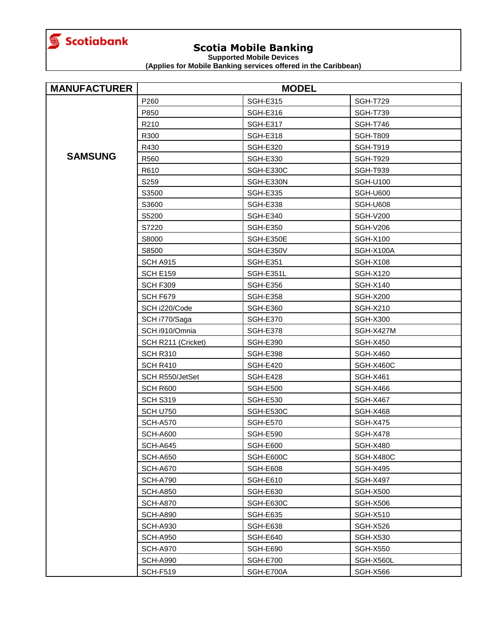

**Supported Mobile Devices**

| <b>MANUFACTURER</b> | <b>MODEL</b>       |                 |                 |
|---------------------|--------------------|-----------------|-----------------|
|                     | P260               | <b>SGH-E315</b> | <b>SGH-T729</b> |
|                     | P850               | <b>SGH-E316</b> | <b>SGH-T739</b> |
|                     | R210               | <b>SGH-E317</b> | <b>SGH-T746</b> |
|                     | R300               | <b>SGH-E318</b> | <b>SGH-T809</b> |
|                     | R430               | <b>SGH-E320</b> | <b>SGH-T919</b> |
| <b>SAMSUNG</b>      | R560               | <b>SGH-E330</b> | <b>SGH-T929</b> |
|                     | R610               | SGH-E330C       | <b>SGH-T939</b> |
|                     | S259               | SGH-E330N       | <b>SGH-U100</b> |
|                     | S3500              | <b>SGH-E335</b> | <b>SGH-U600</b> |
|                     | S3600              | <b>SGH-E338</b> | <b>SGH-U608</b> |
|                     | S5200              | <b>SGH-E340</b> | <b>SGH-V200</b> |
|                     | S7220              | <b>SGH-E350</b> | <b>SGH-V206</b> |
|                     | S8000              | SGH-E350E       | <b>SGH-X100</b> |
|                     | S8500              | SGH-E350V       | SGH-X100A       |
|                     | SCH A915           | <b>SGH-E351</b> | <b>SGH-X108</b> |
|                     | <b>SCH E159</b>    | SGH-E351L       | <b>SGH-X120</b> |
|                     | SCH F309           | <b>SGH-E356</b> | <b>SGH-X140</b> |
|                     | SCH F679           | <b>SGH-E358</b> | <b>SGH-X200</b> |
|                     | SCH i220/Code      | <b>SGH-E360</b> | <b>SGH-X210</b> |
|                     | SCH i770/Saga      | <b>SGH-E370</b> | <b>SGH-X300</b> |
|                     | SCH i910/Omnia     | <b>SGH-E378</b> | SGH-X427M       |
|                     | SCH R211 (Cricket) | <b>SGH-E390</b> | <b>SGH-X450</b> |
|                     | <b>SCH R310</b>    | <b>SGH-E398</b> | <b>SGH-X460</b> |
|                     | SCH R410           | <b>SGH-E420</b> | SGH-X460C       |
|                     | SCH R550/JetSet    | <b>SGH-E428</b> | <b>SGH-X461</b> |
|                     | SCH R600           | <b>SGH-E500</b> | SGH-X466        |
|                     | <b>SCH S319</b>    | <b>SGH-E530</b> | <b>SGH-X467</b> |
|                     | <b>SCH U750</b>    | SGH-E530C       | <b>SGH-X468</b> |
|                     | <b>SCH-A570</b>    | <b>SGH-E570</b> | <b>SGH-X475</b> |
|                     | <b>SCH-A600</b>    | <b>SGH-E590</b> | <b>SGH-X478</b> |
|                     | <b>SCH-A645</b>    | <b>SGH-E600</b> | <b>SGH-X480</b> |
|                     | SCH-A650           | SGH-E600C       | SGH-X480C       |
|                     | SCH-A670           | SGH-E608        | <b>SGH-X495</b> |
|                     | <b>SCH-A790</b>    | SGH-E610        | <b>SGH-X497</b> |
|                     | <b>SCH-A850</b>    | <b>SGH-E630</b> | <b>SGH-X500</b> |
|                     | <b>SCH-A870</b>    | SGH-E630C       | <b>SGH-X506</b> |
|                     | <b>SCH-A890</b>    | <b>SGH-E635</b> | <b>SGH-X510</b> |
|                     | <b>SCH-A930</b>    | SGH-E638        | SGH-X526        |
|                     | <b>SCH-A950</b>    | SGH-E640        | <b>SGH-X530</b> |
|                     | <b>SCH-A970</b>    | SGH-E690        | <b>SGH-X550</b> |
|                     | <b>SCH-A990</b>    | SGH-E700        | SGH-X560L       |
|                     | <b>SCH-F519</b>    | SGH-E700A       | <b>SGH-X566</b> |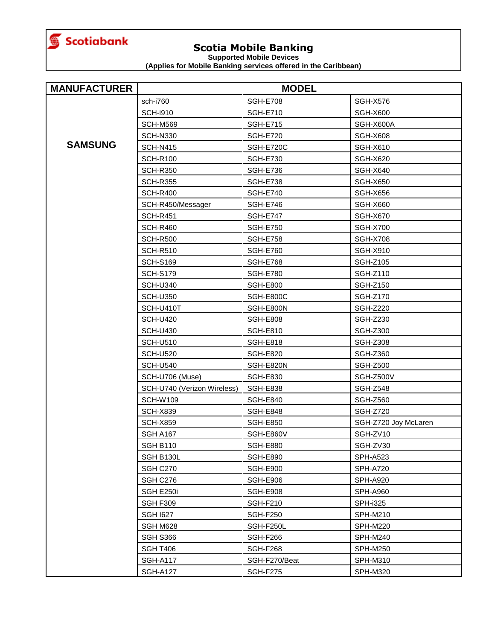

**Supported Mobile Devices**

| <b>MANUFACTURER</b> | <b>MODEL</b>                |                 |                      |
|---------------------|-----------------------------|-----------------|----------------------|
|                     | sch-i760                    | <b>SGH-E708</b> | <b>SGH-X576</b>      |
|                     | <b>SCH-i910</b>             | <b>SGH-E710</b> | <b>SGH-X600</b>      |
|                     | <b>SCH-M569</b>             | <b>SGH-E715</b> | SGH-X600A            |
|                     | <b>SCH-N330</b>             | <b>SGH-E720</b> | SGH-X608             |
| <b>SAMSUNG</b>      | <b>SCH-N415</b>             | SGH-E720C       | <b>SGH-X610</b>      |
|                     | <b>SCH-R100</b>             | <b>SGH-E730</b> | <b>SGH-X620</b>      |
|                     | <b>SCH-R350</b>             | <b>SGH-E736</b> | <b>SGH-X640</b>      |
|                     | <b>SCH-R355</b>             | <b>SGH-E738</b> | <b>SGH-X650</b>      |
|                     | <b>SCH-R400</b>             | <b>SGH-E740</b> | SGH-X656             |
|                     | SCH-R450/Messager           | <b>SGH-E746</b> | <b>SGH-X660</b>      |
|                     | <b>SCH-R451</b>             | <b>SGH-E747</b> | <b>SGH-X670</b>      |
|                     | <b>SCH-R460</b>             | <b>SGH-E750</b> | <b>SGH-X700</b>      |
|                     | <b>SCH-R500</b>             | <b>SGH-E758</b> | SGH-X708             |
|                     | <b>SCH-R510</b>             | <b>SGH-E760</b> | <b>SGH-X910</b>      |
|                     | <b>SCH-S169</b>             | <b>SGH-E768</b> | SGH-Z105             |
|                     | <b>SCH-S179</b>             | <b>SGH-E780</b> | <b>SGH-Z110</b>      |
|                     | <b>SCH-U340</b>             | <b>SGH-E800</b> | <b>SGH-Z150</b>      |
|                     | <b>SCH-U350</b>             | SGH-E800C       | <b>SGH-Z170</b>      |
|                     | SCH-U410T                   | SGH-E800N       | <b>SGH-Z220</b>      |
|                     | <b>SCH-U420</b>             | <b>SGH-E808</b> | <b>SGH-Z230</b>      |
|                     | <b>SCH-U430</b>             | <b>SGH-E810</b> | <b>SGH-Z300</b>      |
|                     | <b>SCH-U510</b>             | <b>SGH-E818</b> | <b>SGH-Z308</b>      |
|                     | <b>SCH-U520</b>             | <b>SGH-E820</b> | <b>SGH-Z360</b>      |
|                     | <b>SCH-U540</b>             | SGH-E820N       | <b>SGH-Z500</b>      |
|                     | SCH-U706 (Muse)             | <b>SGH-E830</b> | SGH-Z500V            |
|                     | SCH-U740 (Verizon Wireless) | <b>SGH-E838</b> | <b>SGH-Z548</b>      |
|                     | <b>SCH-W109</b>             | SGH-E840        | <b>SGH-Z560</b>      |
|                     | <b>SCH-X839</b>             | <b>SGH-E848</b> | <b>SGH-Z720</b>      |
|                     | <b>SCH-X859</b>             | <b>SGH-E850</b> | SGH-Z720 Joy McLaren |
|                     | SGH A167                    | SGH-E860V       | SGH-ZV10             |
|                     | <b>SGH B110</b>             | <b>SGH-E880</b> | SGH-ZV30             |
|                     | SGH B130L                   | <b>SGH-E890</b> | <b>SPH-A523</b>      |
|                     | SGH C270                    | <b>SGH-E900</b> | <b>SPH-A720</b>      |
|                     | SGH C276                    | SGH-E906        | <b>SPH-A920</b>      |
|                     | SGH E250i                   | SGH-E908        | SPH-A960             |
|                     | SGH F309                    | <b>SGH-F210</b> | <b>SPH-i325</b>      |
|                     | <b>SGH 1627</b>             | SGH-F250        | <b>SPH-M210</b>      |
|                     | SGH M628                    | SGH-F250L       | SPH-M220             |
|                     | SGH S366                    | SGH-F266        | <b>SPH-M240</b>      |
|                     | <b>SGH T406</b>             | SGH-F268        | SPH-M250             |
|                     | <b>SGH-A117</b>             | SGH-F270/Beat   | SPH-M310             |
|                     | <b>SGH-A127</b>             | SGH-F275        | SPH-M320             |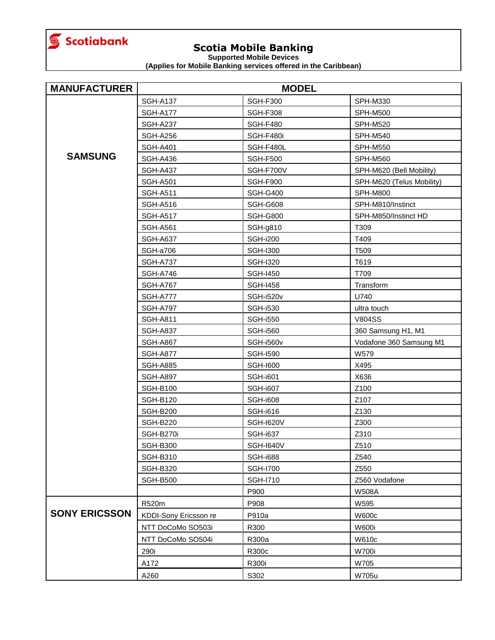

**Supported Mobile Devices**

| <b>MANUFACTURER</b>  | <b>MODEL</b>          |                  |                           |
|----------------------|-----------------------|------------------|---------------------------|
|                      | <b>SGH-A137</b>       | <b>SGH-F300</b>  | SPH-M330                  |
|                      | <b>SGH-A177</b>       | <b>SGH-F308</b>  | <b>SPH-M500</b>           |
|                      | <b>SGH-A237</b>       | <b>SGH-F480</b>  | <b>SPH-M520</b>           |
|                      | <b>SGH-A256</b>       | SGH-F480i        | <b>SPH-M540</b>           |
|                      | <b>SGH-A401</b>       | SGH-F480L        | <b>SPH-M550</b>           |
| <b>SAMSUNG</b>       | <b>SGH-A436</b>       | <b>SGH-F500</b>  | <b>SPH-M560</b>           |
|                      | <b>SGH-A437</b>       | SGH-F700V        | SPH-M620 (Bell Mobility)  |
|                      | <b>SGH-A501</b>       | <b>SGH-F900</b>  | SPH-M620 (Telus Mobility) |
|                      | <b>SGH-A511</b>       | <b>SGH-G400</b>  | <b>SPH-M800</b>           |
|                      | <b>SGH-A516</b>       | <b>SGH-G608</b>  | SPH-M810/Instinct         |
|                      | <b>SGH-A517</b>       | <b>SGH-G800</b>  | SPH-M850/Instinct HD      |
|                      | <b>SGH-A561</b>       | <b>SGH-g810</b>  | T309                      |
|                      | SGH-A637              | <b>SGH-i200</b>  | T409                      |
|                      | SGH-a706              | <b>SGH-I300</b>  | T509                      |
|                      | <b>SGH-A737</b>       | <b>SGH-I320</b>  | T619                      |
|                      | SGH-A746              | <b>SGH-1450</b>  | T709                      |
|                      | <b>SGH-A767</b>       | <b>SGH-1458</b>  | Transform                 |
|                      | <b>SGH-A777</b>       | SGH-i520v        | U740                      |
|                      | <b>SGH-A797</b>       | <b>SGH-i530</b>  | ultra touch               |
|                      | <b>SGH-A811</b>       | <b>SGH-i550</b>  | <b>V804SS</b>             |
|                      | <b>SGH-A837</b>       | <b>SGH-i560</b>  | 360 Samsung H1, M1        |
|                      | <b>SGH-A867</b>       | SGH-i560v        | Vodafone 360 Samsung M1   |
|                      | <b>SGH-A877</b>       | <b>SGH-1590</b>  | W579                      |
|                      | <b>SGH-A885</b>       | <b>SGH-1600</b>  | X495                      |
|                      | <b>SGH-A897</b>       | <b>SGH-i601</b>  | X636                      |
|                      | <b>SGH-B100</b>       | <b>SGH-i607</b>  | Z100                      |
|                      | <b>SGH-B120</b>       | <b>SGH-i608</b>  | Z107                      |
|                      | <b>SGH-B200</b>       | <b>SGH-i616</b>  | Z130                      |
|                      | <b>SGH-B220</b>       | <b>SGH-I620V</b> | Z300                      |
|                      | SGH-B270i             | <b>SGH-i637</b>  | Z310                      |
|                      | <b>SGH-B300</b>       | <b>SGH-I640V</b> | Z510                      |
|                      | <b>SGH-B310</b>       | SGH-i688         | Z540                      |
|                      | <b>SGH-B320</b>       | <b>SGH-I700</b>  | Z550                      |
|                      | <b>SGH-B500</b>       | SGH-1710         | Z560 Vodafone             |
|                      |                       | P900             | <b>W508A</b>              |
|                      | R520m                 | P908             | W595                      |
| <b>SONY ERICSSON</b> | KDDI-Sony Ericsson re | P910a            | W600c                     |
|                      | NTT DoCoMo SO503i     | R300             | <b>W600i</b>              |
|                      | NTT DoCoMo SO504i     | R300a            | W610c                     |
|                      | 290i                  | R300c            | <b>W700i</b>              |
|                      | A172                  | R300i            | W705                      |
|                      | A260                  | S302             | W705u                     |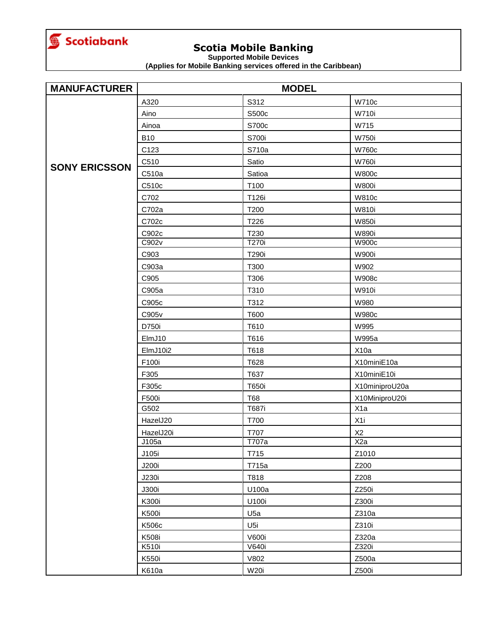<span id="page-13-0"></span>

**Supported Mobile Devices**

| <b>MANUFACTURER</b>  | <b>MODEL</b> |                 |                  |
|----------------------|--------------|-----------------|------------------|
|                      | A320         | S312            | <b>W710c</b>     |
|                      | Aino         | S500c           | <b>W710i</b>     |
|                      | Ainoa        | S700c           | W715             |
|                      | <b>B10</b>   | S700i           | <b>W750i</b>     |
|                      | C123         | S710a           | W760c            |
|                      | C510         | Satio           | <b>W760i</b>     |
| <b>SONY ERICSSON</b> | C510a        | Satioa          | <b>W800c</b>     |
|                      | C510c        | T100            | <b>W800i</b>     |
|                      | C702         | T126i           | <b>W810c</b>     |
|                      | C702a        | T200            | <b>W810i</b>     |
|                      | C702c        | T226            | <b>W850i</b>     |
|                      | C902c        | T230            | <b>W890i</b>     |
|                      | C902v        | T270i           | <b>W900c</b>     |
|                      | C903         | T290i           | <b>W900i</b>     |
|                      | C903a        | T300            | W902             |
|                      | C905         | T306            | <b>W908c</b>     |
|                      | C905a        | T310            | <b>W910i</b>     |
|                      | C905c        | T312            | W980             |
|                      | C905v        | T600            | <b>W980c</b>     |
|                      | D750i        | T610            | W995             |
|                      | ElmJ10       | T616            | W995a            |
|                      | ElmJ10i2     | T618            | X10a             |
|                      | F100i        | T628            | X10miniE10a      |
|                      | F305         | T637            | X10miniE10i      |
|                      | F305c        | T650i           | X10miniproU20a   |
|                      | F500i        | <b>T68</b>      | X10MiniproU20i   |
|                      | G502         | T687i           | X <sub>1</sub> a |
|                      | HazelJ20     | T700            | X <sub>1</sub>   |
|                      | HazelJ20i    | T707            | X <sub>2</sub>   |
|                      | J105a        | T707a           | X <sub>2a</sub>  |
|                      | J105i        | T715            | Z1010            |
|                      | J200i        | T715a           | Z200             |
|                      | J230i        | T818            | Z208             |
|                      | J300i        | U100a           | Z250i            |
|                      | K300i        | U100i           | Z300i            |
|                      | <b>K500i</b> | U <sub>5a</sub> | Z310a            |
|                      | K506c        | U <sub>5i</sub> | Z310i            |
|                      | K508i        | <b>V600i</b>    | Z320a            |
|                      | K510i        | V640i           | Z320i            |
|                      | K550i        | V802            | Z500a            |
|                      | K610a        | <b>W20i</b>     | Z500i            |